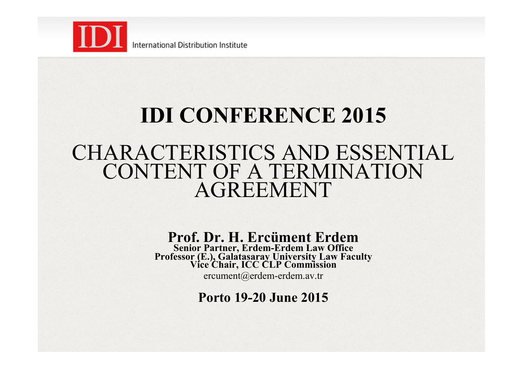

# **IDI CONFERENCE 2015**  CHARACTERISTICS AND ESSENTIAL CONTENT OF A TERMINATION AGREEMENT

**Prof. Dr. H. Ercüment Erdem Senior Partner, Erdem-Erdem Law Office Professor (E.), Galatasaray University Law Faculty Vice Chair, ICC CLP Commission** 

ercument@erdem-erdem.av.tr

**Porto 19-20 June 2015**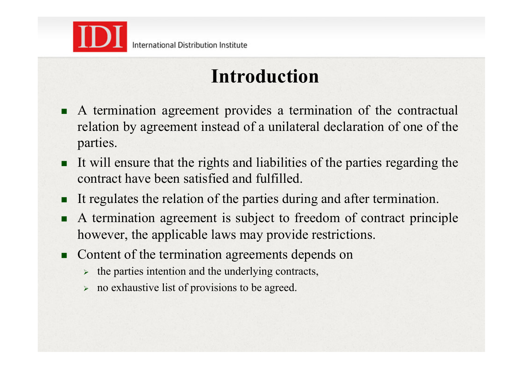

### **Introduction**

- ! A termination agreement provides a termination of the contractual relation by agreement instead of a unilateral declaration of one of the parties.
- ! It will ensure that the rights and liabilities of the parties regarding the contract have been satisfied and fulfilled.
- It regulates the relation of the parties during and after termination.
- ! A termination agreement is subject to freedom of contract principle however, the applicable laws may provide restrictions.
- Content of the termination agreements depends on
	- $\rightarrow$  the parties intention and the underlying contracts,
	- $\triangleright$  no exhaustive list of provisions to be agreed.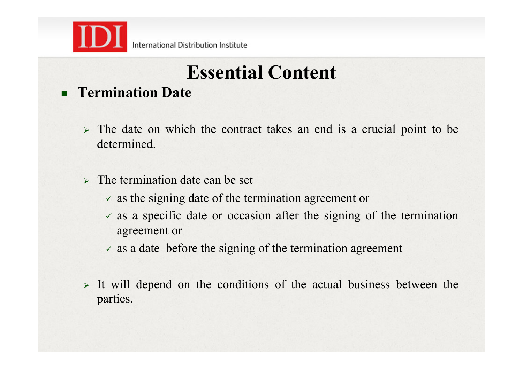

# **Essential Content**

### ! **Termination Date**

- $\triangleright$  The date on which the contract takes an end is a crucial point to be determined.
- $\triangleright$  The termination date can be set
	- $\checkmark$  as the signing date of the termination agreement or
	- $\checkmark$  as a specific date or occasion after the signing of the termination agreement or
	- $\checkmark$  as a date before the signing of the termination agreement
- $\triangleright$  It will depend on the conditions of the actual business between the parties.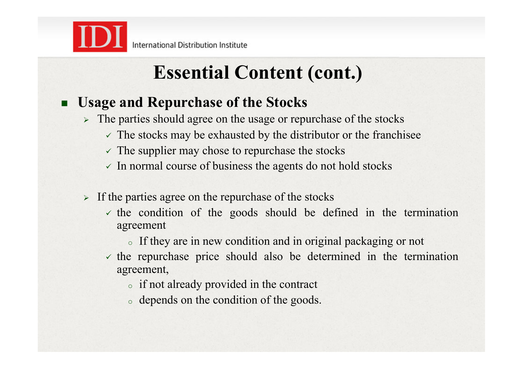

### ! **Usage and Repurchase of the Stocks**

- $\triangleright$  The parties should agree on the usage or repurchase of the stocks
	- $\checkmark$  The stocks may be exhausted by the distributor or the franchisee
	- $\checkmark$  The supplier may chose to repurchase the stocks
	- $\checkmark$  In normal course of business the agents do not hold stocks
- $\triangleright$  If the parties agree on the repurchase of the stocks
	- $\checkmark$  the condition of the goods should be defined in the termination agreement
		- <sup>o</sup> If they are in new condition and in original packaging or not
	- $\checkmark$  the repurchase price should also be determined in the termination agreement,
		- <sup>o</sup> if not already provided in the contract
		- <sup>o</sup> depends on the condition of the goods.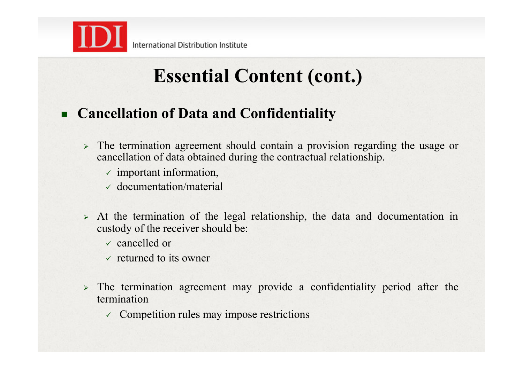

### ! **Cancellation of Data and Confidentiality**

- $\triangleright$  The termination agreement should contain a provision regarding the usage or cancellation of data obtained during the contractual relationship.
	- $\checkmark$  important information,
	- $\times$  documentation/material
- $\triangleright$  At the termination of the legal relationship, the data and documentation in custody of the receiver should be:
	- $\sqrt{\ }$  cancelled or
	- $\vee$  returned to its owner
- $\triangleright$  The termination agreement may provide a confidentiality period after the termination
	- $\checkmark$  Competition rules may impose restrictions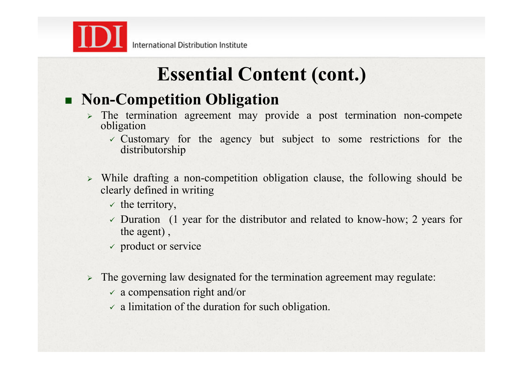

### ! **Non-Competition Obligation**

- $\triangleright$  The termination agreement may provide a post termination non-compete obligation
	- $\checkmark$  Customary for the agency but subject to some restrictions for the distributorship
- $\triangleright$  While drafting a non-competition obligation clause, the following should be clearly defined in writing
	- $\checkmark$  the territory,
	- $\checkmark$  Duration (1 year for the distributor and related to know-how; 2 years for the agent) ,
	- $\checkmark$  product or service
- $\triangleright$  The governing law designated for the termination agreement may regulate:
	- $\times$  a compensation right and/or
	- $\checkmark$  a limitation of the duration for such obligation.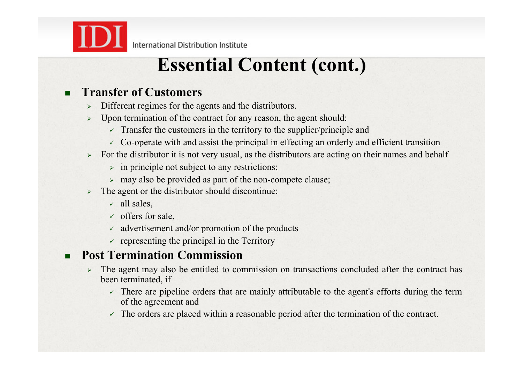

#### ! **Transfer of Customers**

- Different regimes for the agents and the distributors.
- Upon termination of the contract for any reason, the agent should:
	- $\checkmark$  Transfer the customers in the territory to the supplier/principle and
	- $\sim$  Co-operate with and assist the principal in effecting an orderly and efficient transition
- $\triangleright$  For the distributor it is not very usual, as the distributors are acting on their names and behalf
	- $\triangleright$  in principle not subject to any restrictions;
	- $>$  may also be provided as part of the non-compete clause;
- The agent or the distributor should discontinue:
	- $\checkmark$  all sales,
	- $\checkmark$  offers for sale,
	- $\checkmark$  advertisement and/or promotion of the products
	- $\checkmark$  representing the principal in the Territory

#### ! **Post Termination Commission**

- $\geq$  The agent may also be entitled to commission on transactions concluded after the contract has been terminated, if
	- $\checkmark$  There are pipeline orders that are mainly attributable to the agent's efforts during the term of the agreement and
	- $\checkmark$  The orders are placed within a reasonable period after the termination of the contract.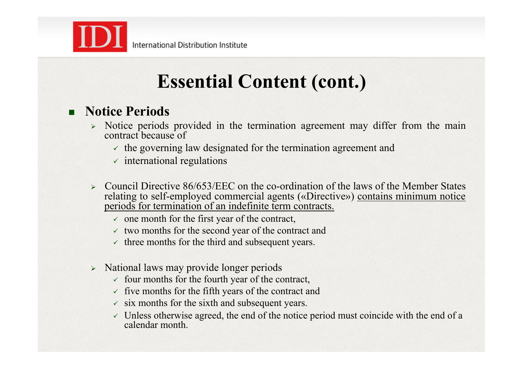

#### ! **Notice Periods**

- $\geq$  Notice periods provided in the termination agreement may differ from the main contract because of
	- $\checkmark$  the governing law designated for the termination agreement and
	- $\checkmark$  international regulations
- $\geq$  Council Directive 86/653/EEC on the co-ordination of the laws of the Member States relating to self-employed commercial agents («Directive») contains minimum notice periods for termination of an indefinite term contracts.
	- $\checkmark$  one month for the first year of the contract,
	- $\checkmark$  two months for the second year of the contract and
	- $\checkmark$  three months for the third and subsequent years.
- > National laws may provide longer periods
	- $\checkmark$  four months for the fourth year of the contract,
	- $\checkmark$  five months for the fifth years of the contract and
	- $\checkmark$  six months for the sixth and subsequent years.
	- $\checkmark$  Unless otherwise agreed, the end of the notice period must coincide with the end of a calendar month.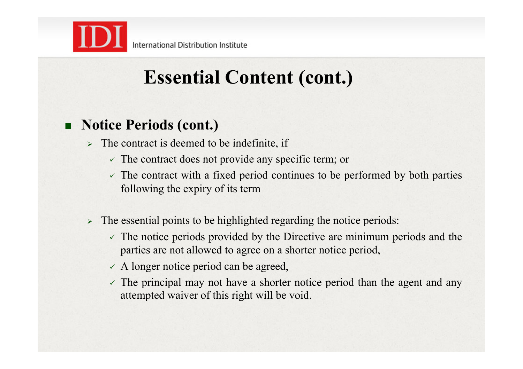

# **Essential Content (cont.)**

### ! **Notice Periods (cont.)**

- $\triangleright$  The contract is deemed to be indefinite, if
	- $\checkmark$  The contract does not provide any specific term; or
	- $\checkmark$  The contract with a fixed period continues to be performed by both parties following the expiry of its term
- $\triangleright$  The essential points to be highlighted regarding the notice periods:
	- $\checkmark$  The notice periods provided by the Directive are minimum periods and the parties are not allowed to agree on a shorter notice period,
	- $\angle$  A longer notice period can be agreed,
	- $\checkmark$  The principal may not have a shorter notice period than the agent and any attempted waiver of this right will be void.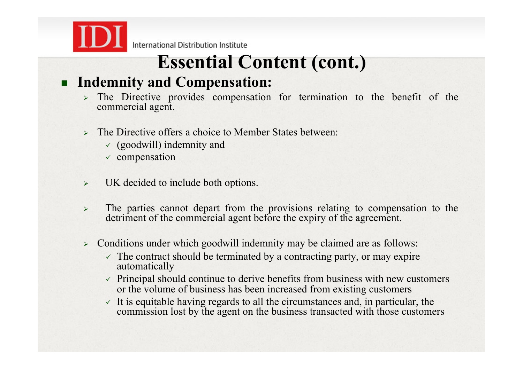

### **Essential Content (cont.)**

#### ! **Indemnity and Compensation:**

- $\ge$  The Directive provides compensation for termination to the benefit of the commercial agent.
- $\triangleright$  The Directive offers a choice to Member States between:
	- $\checkmark$  (goodwill) indemnity and
	- $\checkmark$  compensation
- $\triangleright$  UK decided to include both options.
- $\geq$  The parties cannot depart from the provisions relating to compensation to the detriment of the commercial agent before the expiry of the agreement.
- $\geq$  Conditions under which goodwill indemnity may be claimed are as follows:
	- $\checkmark$  The contract should be terminated by a contracting party, or may expire automatically
	- $\checkmark$  Principal should continue to derive benefits from business with new customers or the volume of business has been increased from existing customers
	- $\checkmark$  It is equitable having regards to all the circumstances and, in particular, the commission lost by the agent on the business transacted with those customers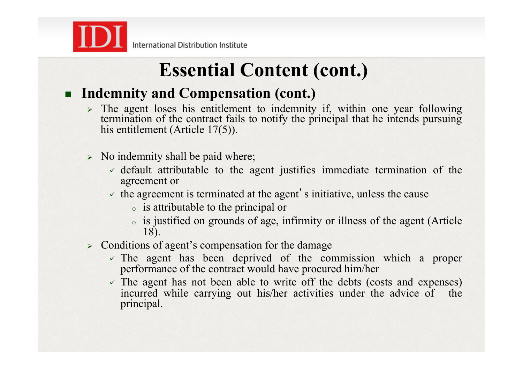

### ! **Indemnity and Compensation (cont.)**

- $\triangleright$  The agent loses his entitlement to indemnity if, within one year following termination of the contract fails to notify the principal that he intends pursuing his entitlement (Article 17(5)).
- $\triangleright$  No indemnity shall be paid where;
	- $\checkmark$  default attributable to the agent justifies immediate termination of the agreement or
	- $\checkmark$  the agreement is terminated at the agent's initiative, unless the cause
		- <sup>o</sup> is attributable to the principal or
		- <sup>o</sup> is justified on grounds of age, infirmity or illness of the agent (Article 18).
- $\triangleright$  Conditions of agent's compensation for the damage
	- $\checkmark$  The agent has been deprived of the commission which a proper performance of the contract would have procured him/her
	- $\checkmark$  The agent has not been able to write off the debts (costs and expenses) incurred while carrying out his/her activities under the advice of the principal.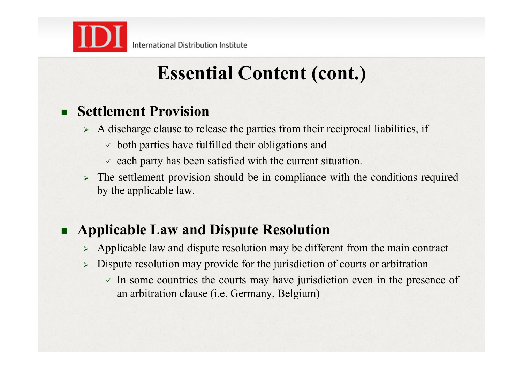

### ! **Settlement Provision**

- $\triangleright$  A discharge clause to release the parties from their reciprocal liabilities, if
	- $\checkmark$  both parties have fulfilled their obligations and
	- $\checkmark$  each party has been satisfied with the current situation.
- The settlement provision should be in compliance with the conditions required by the applicable law.

### ! **Applicable Law and Dispute Resolution**

- $\triangleright$  Applicable law and dispute resolution may be different from the main contract
- $\triangleright$  Dispute resolution may provide for the jurisdiction of courts or arbitration
	- $\checkmark$  In some countries the courts may have jurisdiction even in the presence of an arbitration clause (i.e. Germany, Belgium)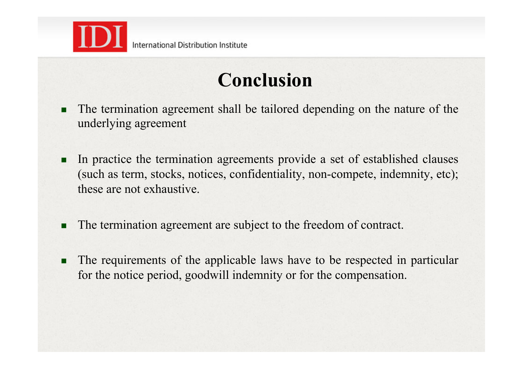

## **Conclusion**

- The termination agreement shall be tailored depending on the nature of the underlying agreement
- In practice the termination agreements provide a set of established clauses (such as term, stocks, notices, confidentiality, non-compete, indemnity, etc); these are not exhaustive.
- The termination agreement are subject to the freedom of contract.
- The requirements of the applicable laws have to be respected in particular for the notice period, goodwill indemnity or for the compensation.